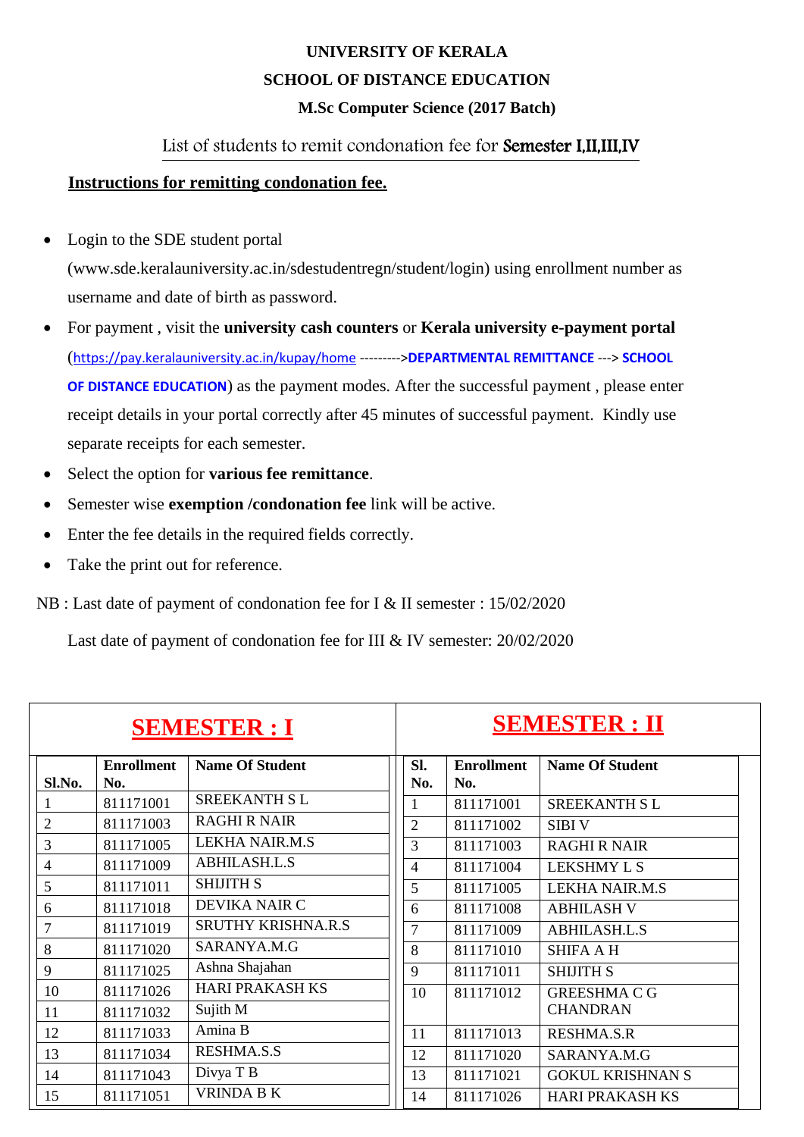## **UNIVERSITY OF KERALA SCHOOL OF DISTANCE EDUCATION M.Sc Computer Science (2017 Batch)**

## List of students to remit condonation fee for Semester I,II,III,IV

## **Instructions for remitting condonation fee.**

- Login to the SDE student portal [\(www.sde.keralauniversity.ac.in/sdestudentregn/student/login\) u](http://www.sde.keralauniversity.ac.in/sdestudentregn/student/login))sing enrollment number as username and date of birth as password.
- For payment , visit the **university cash counters** or **Kerala university e-payment portal** (<https://pay.keralauniversity.ac.in/kupay/home> --------->**DEPARTMENTAL REMITTANCE** ---> **SCHOOL OF DISTANCE EDUCATION**) as the payment modes. After the successful payment , please enter receipt details in your portal correctly after 45 minutes of successful payment. Kindly use separate receipts for each semester.
- Select the option for **various fee remittance**.
- Semester wise **exemption /condonation fee** link will be active.
- Enter the fee details in the required fields correctly.
- Take the print out for reference.
- NB : Last date of payment of condonation fee for I & II semester : 15/02/2020

Last date of payment of condonation fee for III & IV semester: 20/02/2020

| <b>SEMESTER : I</b> |                          |                           | <b>SEMESTER: II</b> |                          |                         |
|---------------------|--------------------------|---------------------------|---------------------|--------------------------|-------------------------|
| Sl.No.              | <b>Enrollment</b><br>No. | <b>Name Of Student</b>    | SI.<br>No.          | <b>Enrollment</b><br>No. | <b>Name Of Student</b>  |
|                     | 811171001                | <b>SREEKANTH SL</b>       | 1                   | 811171001                | <b>SREEKANTH SL</b>     |
| $\overline{2}$      | 811171003                | <b>RAGHI R NAIR</b>       | $\overline{2}$      | 811171002                | <b>SIBIV</b>            |
| 3                   | 811171005                | <b>LEKHA NAIR.M.S</b>     | 3                   | 811171003                | <b>RAGHI R NAIR</b>     |
| $\overline{4}$      | 811171009                | <b>ABHILASH.L.S</b>       | $\overline{4}$      | 811171004                | <b>LEKSHMY L S</b>      |
| 5                   | 811171011                | <b>SHIJITH S</b>          | 5                   | 811171005                | <b>LEKHA NAIR.M.S</b>   |
| 6                   | 811171018                | <b>DEVIKA NAIR C</b>      | 6                   | 811171008                | <b>ABHILASH V</b>       |
| 7                   | 811171019                | <b>SRUTHY KRISHNA.R.S</b> | $\overline{7}$      | 811171009                | <b>ABHILASH.L.S</b>     |
| 8                   | 811171020                | SARANYA.M.G               | 8                   | 811171010                | <b>SHIFA A H</b>        |
| 9                   | 811171025                | Ashna Shajahan            | 9                   | 811171011                | <b>SHIJITH S</b>        |
| 10                  | 811171026                | <b>HARI PRAKASH KS</b>    | 10                  | 811171012                | <b>GREESHMA C G</b>     |
| 11                  | 811171032                | Sujith M                  |                     |                          | <b>CHANDRAN</b>         |
| 12                  | 811171033                | Amina B                   | 11                  | 811171013                | <b>RESHMA.S.R</b>       |
| 13                  | 811171034                | <b>RESHMA.S.S</b>         | 12                  | 811171020                | SARANYA.M.G             |
| 14                  | 811171043                | Divya T B                 | 13                  | 811171021                | <b>GOKUL KRISHNAN S</b> |
| 15                  | 811171051                | <b>VRINDA B K</b>         | 14                  | 811171026                | <b>HARI PRAKASH KS</b>  |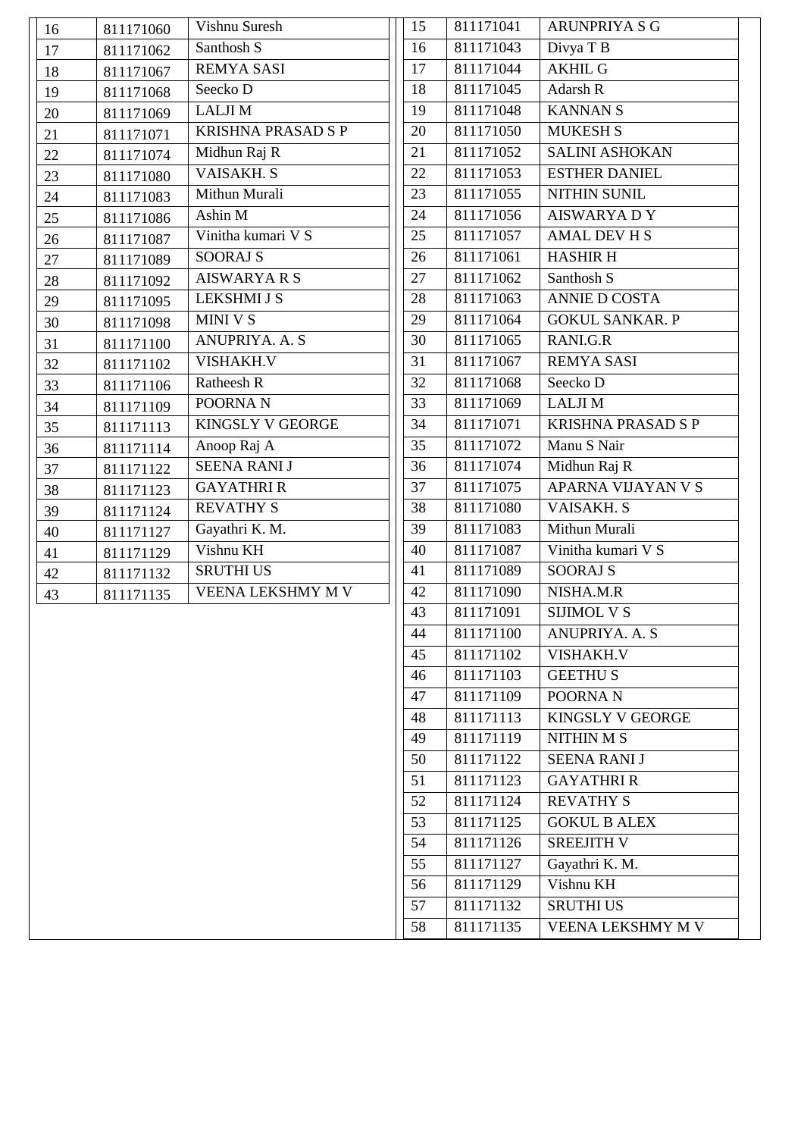| 16 | 811171060 | Vishnu Suresh             | 15 | 811171041 |
|----|-----------|---------------------------|----|-----------|
| 17 | 811171062 | Santhosh S                | 16 | 811171043 |
| 18 | 811171067 | <b>REMYA SASI</b>         | 17 | 811171044 |
| 19 | 811171068 | Seecko D                  | 18 | 811171045 |
| 20 | 811171069 | <b>LALJIM</b>             | 19 | 811171048 |
| 21 | 811171071 | <b>KRISHNA PRASAD S P</b> | 20 | 811171050 |
| 22 | 811171074 | Midhun Raj R              | 21 | 811171052 |
| 23 | 811171080 | <b>VAISAKH. S</b>         | 22 | 811171053 |
| 24 | 811171083 | Mithun Murali             | 23 | 811171055 |
| 25 | 811171086 | Ashin M                   | 24 | 811171056 |
| 26 | 811171087 | Vinitha kumari V S        | 25 | 811171057 |
| 27 | 811171089 | <b>SOORAJ S</b>           | 26 | 811171061 |
| 28 | 811171092 | <b>AISWARYARS</b>         | 27 | 811171062 |
| 29 | 811171095 | <b>LEKSHMI J S</b>        | 28 | 811171063 |
| 30 | 811171098 | MINI V S                  | 29 | 811171064 |
| 31 | 811171100 | <b>ANUPRIYA. A. S</b>     | 30 | 811171065 |
| 32 | 811171102 | <b>VISHAKH.V</b>          | 31 | 811171067 |
| 33 | 811171106 | Ratheesh R                | 32 | 811171068 |
| 34 | 811171109 | POORNA <sub>N</sub>       | 33 | 811171069 |
| 35 | 811171113 | <b>KINGSLY V GEORGE</b>   | 34 | 811171071 |
| 36 | 811171114 | Anoop Raj A               | 35 | 811171072 |
| 37 | 811171122 | <b>SEENA RANI J</b>       | 36 | 811171074 |
| 38 | 811171123 | <b>GAYATHRIR</b>          | 37 | 811171075 |
| 39 | 811171124 | <b>REVATHY S</b>          | 38 | 811171080 |
| 40 | 811171127 | Gayathri K. M.            | 39 | 811171083 |
| 41 | 811171129 | Vishnu KH                 | 40 | 811171087 |
| 42 | 811171132 | <b>SRUTHI US</b>          | 41 | 811171089 |
| 43 | 811171135 | <b>VEENA LEKSHMY M V</b>  | 42 | 811171090 |
|    |           |                           | 43 | 811171091 |
|    |           |                           | 44 | 811171100 |
|    |           |                           | 45 | 811171102 |
|    |           |                           | 46 | 811171103 |
|    |           |                           | 47 | 811171109 |
|    |           |                           | 48 | 811171113 |
|    |           |                           | 49 | 811171119 |
|    |           |                           | 50 | 811171122 |
|    |           |                           | 51 | 811171123 |
|    |           |                           | 52 | 811171124 |
|    |           |                           | 53 | 811171125 |
|    |           |                           | 54 | 811171126 |
|    |           |                           | 55 | 811171127 |
|    |           |                           | 56 | 811171129 |
|    |           |                           | 57 | 811171132 |
|    |           |                           | 58 | 811171135 |
|    |           |                           |    |           |

| 15 | 811171041 | <b>ARUNPRIYA S G</b>      |
|----|-----------|---------------------------|
| 16 | 811171043 | Divya T B                 |
| 17 | 811171044 | <b>AKHIL G</b>            |
| 18 | 811171045 | <b>Adarsh R</b>           |
| 19 | 811171048 | <b>KANNANS</b>            |
| 20 | 811171050 | <b>MUKESH S</b>           |
| 21 | 811171052 | <b>SALINI ASHOKAN</b>     |
| 22 | 811171053 | <b>ESTHER DANIEL</b>      |
| 23 | 811171055 | <b>NITHIN SUNIL</b>       |
| 24 | 811171056 | <b>AISWARYA DY</b>        |
| 25 | 811171057 | <b>AMAL DEV H S</b>       |
| 26 | 811171061 | <b>HASHIR H</b>           |
| 27 | 811171062 | Santhosh S                |
| 28 | 811171063 | <b>ANNIE D COSTA</b>      |
| 29 | 811171064 | <b>GOKUL SANKAR. P</b>    |
| 30 | 811171065 | RANI.G.R                  |
| 31 | 811171067 | <b>REMYA SASI</b>         |
| 32 | 811171068 | Seecko D                  |
| 33 | 811171069 | <b>LALJIM</b>             |
| 34 | 811171071 | <b>KRISHNA PRASAD S P</b> |
| 35 | 811171072 | Manu S Nair               |
| 36 | 811171074 | Midhun Raj R              |
| 37 | 811171075 | <b>APARNA VIJAYAN V S</b> |
| 38 | 811171080 | <b>VAISAKH. S</b>         |
| 39 | 811171083 | Mithun Murali             |
| 40 | 811171087 | Vinitha kumari V S        |
| 41 | 811171089 | <b>SOORAJ S</b>           |
| 42 | 811171090 | NISHA.M.R                 |
| 43 | 811171091 | <b>SIJIMOL V S</b>        |
| 44 | 811171100 | <b>ANUPRIYA. A. S</b>     |
| 45 | 811171102 | <b>VISHAKH.V</b>          |
| 46 | 811171103 | <b>GEETHUS</b>            |
| 47 | 811171109 | POORNA <sub>N</sub>       |
| 48 | 811171113 | <b>KINGSLY V GEORGE</b>   |
| 49 | 811171119 | <b>NITHIN M S</b>         |
| 50 | 811171122 | <b>SEENA RANI J</b>       |
| 51 | 811171123 | <b>GAYATHRIR</b>          |
| 52 | 811171124 | <b>REVATHY S</b>          |
| 53 | 811171125 | <b>GOKUL B ALEX</b>       |
| 54 | 811171126 | <b>SREEJITH V</b>         |
| 55 | 811171127 | Gayathri K. M.            |
| 56 | 811171129 | Vishnu KH                 |
| 57 | 811171132 | <b>SRUTHI US</b>          |
| 58 | 811171135 | <b>VEENA LEKSHMY M V</b>  |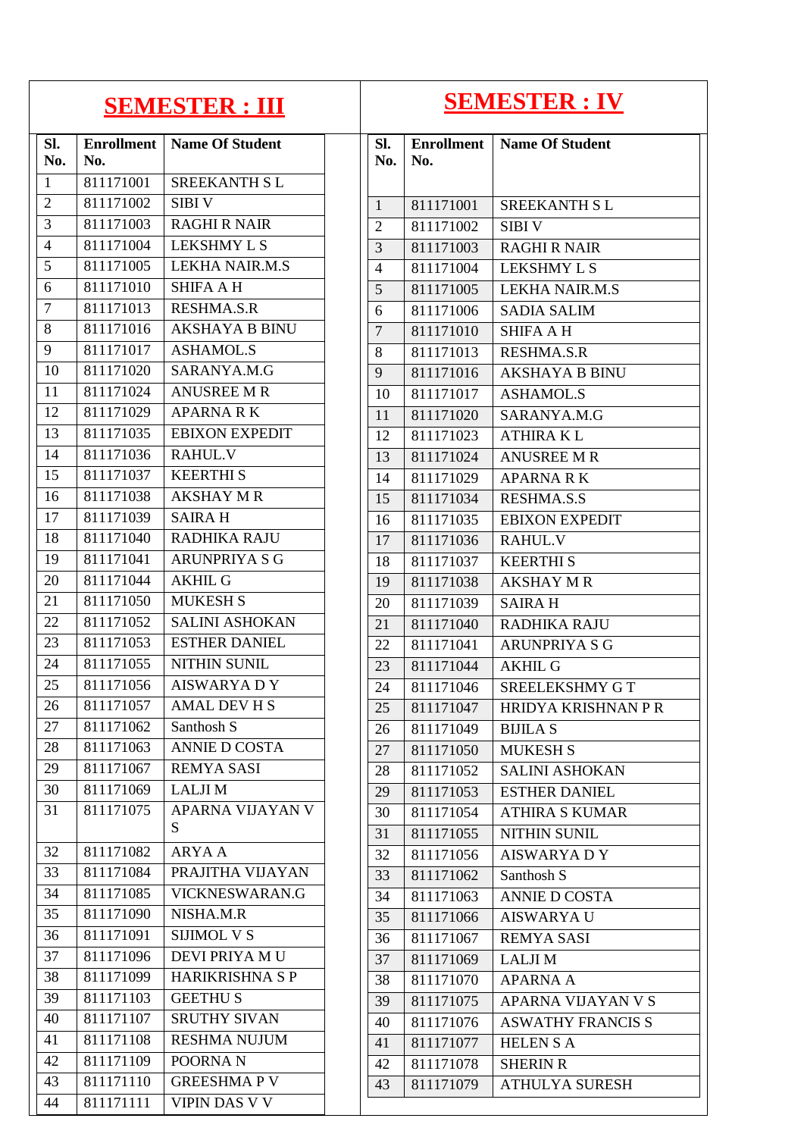| <b>SEMESTER : III</b> |                          |                        | <b>SEMESTER : IV</b> |                |           |                                     |
|-----------------------|--------------------------|------------------------|----------------------|----------------|-----------|-------------------------------------|
| Sl.<br>No.            | <b>Enrollment</b><br>No. | <b>Name Of Student</b> |                      | SI.<br>No.     | No.       | <b>Enrollment</b>   Name Of Student |
| 1                     | 811171001                | <b>SREEKANTH SL</b>    |                      |                |           |                                     |
| $\overline{2}$        | 811171002                | <b>SIBIV</b>           |                      | $\mathbf{1}$   | 811171001 | <b>SREEKANTH SL</b>                 |
| 3                     | 811171003                | <b>RAGHI R NAIR</b>    |                      | $\overline{2}$ | 811171002 | <b>SIBIV</b>                        |
| $\overline{4}$        | 811171004                | <b>LEKSHMY L S</b>     |                      | 3              | 811171003 | <b>RAGHI R NAIR</b>                 |
| 5                     | 811171005                | <b>LEKHA NAIR.M.S</b>  |                      | $\overline{4}$ | 811171004 | <b>LEKSHMY L S</b>                  |
| 6                     | 811171010                | <b>SHIFA A H</b>       |                      | 5              | 811171005 | <b>LEKHA NAIR.M.S</b>               |
| $\overline{7}$        | 811171013                | <b>RESHMA.S.R</b>      |                      | 6              | 811171006 | <b>SADIA SALIM</b>                  |
| 8                     | 811171016                | <b>AKSHAYA B BINU</b>  |                      | $\overline{7}$ | 811171010 | <b>SHIFA A H</b>                    |
| 9                     | 811171017                | <b>ASHAMOL.S</b>       |                      | 8              | 811171013 | RESHMA.S.R                          |
| 10                    | 811171020                | SARANYA.M.G            |                      | 9              | 811171016 | <b>AKSHAYA B BINU</b>               |
| 11                    | 811171024                | <b>ANUSREE M R</b>     |                      | 10             | 811171017 | <b>ASHAMOL.S</b>                    |
| 12                    | 811171029                | <b>APARNARK</b>        |                      | 11             | 811171020 | SARANYA.M.G                         |
| 13                    | 811171035                | <b>EBIXON EXPEDIT</b>  |                      | 12             | 811171023 | <b>ATHIRA KL</b>                    |
| 14                    | 811171036                | RAHUL.V                |                      | 13             | 811171024 | <b>ANUSREE M R</b>                  |
| 15                    | 811171037                | <b>KEERTHIS</b>        |                      | 14             | 811171029 | <b>APARNARK</b>                     |
| 16                    | 811171038                | <b>AKSHAY MR</b>       |                      | 15             | 811171034 | <b>RESHMA.S.S</b>                   |
| 17                    | 811171039                | <b>SAIRAH</b>          |                      | 16             | 811171035 | <b>EBIXON EXPEDIT</b>               |
| 18                    | 811171040                | <b>RADHIKA RAJU</b>    |                      | 17             | 811171036 | <b>RAHUL.V</b>                      |
| 19                    | 811171041                | <b>ARUNPRIYA S G</b>   |                      | 18             | 811171037 | <b>KEERTHIS</b>                     |
| 20                    | 811171044                | <b>AKHIL G</b>         |                      | 19             | 811171038 | <b>AKSHAY M R</b>                   |
| 21                    | 811171050                | <b>MUKESH S</b>        |                      | 20             | 811171039 | <b>SAIRAH</b>                       |
| 22                    | 811171052                | <b>SALINI ASHOKAN</b>  |                      | 21             | 811171040 | <b>RADHIKA RAJU</b>                 |
| 23                    | 811171053                | <b>ESTHER DANIEL</b>   |                      | 22             | 811171041 | <b>ARUNPRIYA S G</b>                |
| 24                    | 811171055                | NITHIN SUNIL           |                      | 23             | 811171044 | <b>AKHIL G</b>                      |
| $25\,$                | 811171056                | AISWARYA D Y           |                      | 24             | 811171046 | SREELEKSHMY GT                      |
| 26                    | 811171057                | AMAL DEV H S           |                      | 25             | 811171047 | HRIDYA KRISHNAN P R                 |
| 27                    | 811171062                | Santhosh S             |                      | 26             | 811171049 | <b>BIJILA S</b>                     |
| 28                    | 811171063                | <b>ANNIE D COSTA</b>   |                      | 27             | 811171050 | <b>MUKESH S</b>                     |
| 29                    | 811171067                | <b>REMYA SASI</b>      |                      | 28             | 811171052 | <b>SALINI ASHOKAN</b>               |
| 30                    | 811171069                | <b>LALJIM</b>          |                      | 29             | 811171053 | <b>ESTHER DANIEL</b>                |
| 31                    | 811171075                | APARNA VIJAYAN V       |                      | 30             | 811171054 | <b>ATHIRA S KUMAR</b>               |
|                       |                          | S                      |                      | 31             | 811171055 | <b>NITHIN SUNIL</b>                 |
| 32                    | 811171082                | <b>ARYA A</b>          |                      | 32             | 811171056 | <b>AISWARYA DY</b>                  |
| 33                    | 811171084                | PRAJITHA VIJAYAN       |                      | 33             | 811171062 | Santhosh S                          |
| 34                    | 811171085                | VICKNESWARAN.G         |                      | 34             | 811171063 | ANNIE D COSTA                       |
| 35                    | 811171090                | NISHA.M.R              |                      | 35             | 811171066 | <b>AISWARYA U</b>                   |
| 36                    | 811171091                | <b>SIJIMOL V S</b>     |                      | 36             | 811171067 | <b>REMYA SASI</b>                   |
| 37                    | 811171096                | DEVI PRIYA MU          |                      | 37             | 811171069 | <b>LALJIM</b>                       |
| 38                    | 811171099                | HARIKRISHNA S P        |                      | 38             | 811171070 | <b>APARNA A</b>                     |
| 39                    | 811171103                | <b>GEETHUS</b>         |                      | 39             | 811171075 | APARNA VIJAYAN V S                  |
| 40                    | 811171107                | <b>SRUTHY SIVAN</b>    |                      | 40             | 811171076 | <b>ASWATHY FRANCIS S</b>            |
| 41                    | 811171108                | <b>RESHMA NUJUM</b>    |                      | 41             | 811171077 | <b>HELENSA</b>                      |
| 42                    | 811171109                | POORNA <sub>N</sub>    |                      | 42             | 811171078 | <b>SHERIN R</b>                     |
| 43                    | 811171110                | <b>GREESHMAPV</b>      |                      | 43             | 811171079 | <b>ATHULYA SURESH</b>               |
| 44                    | 811171111                | <b>VIPIN DAS V V</b>   |                      |                |           |                                     |